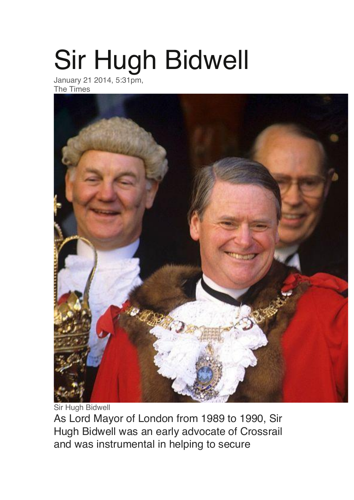## Sir Hugh Bidwell

January 21 2014, 5:31pm, The Times



Sir Hugh Bidwell As Lord Mayor of London from 1989 to 1990, Sir Hugh Bidwell was an early advocate of Crossrail and was instrumental in helping to secure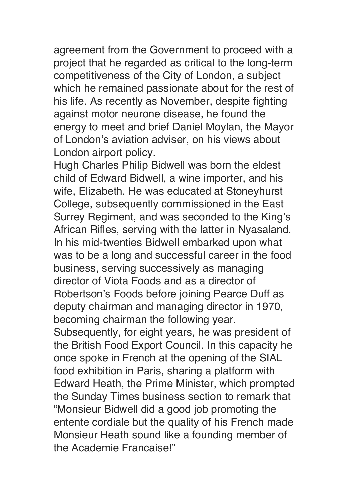agreement from the Government to proceed with a project that he regarded as critical to the long-term competitiveness of the City of London, a subject which he remained passionate about for the rest of his life. As recently as November, despite fighting against motor neurone disease, he found the energy to meet and brief Daniel Moylan, the Mayor of London's aviation adviser, on his views about London airport policy.

Hugh Charles Philip Bidwell was born the eldest child of Edward Bidwell, a wine importer, and his wife, Elizabeth. He was educated at Stoneyhurst College, subsequently commissioned in the East Surrey Regiment, and was seconded to the King's African Rifles, serving with the latter in Nyasaland. In his mid-twenties Bidwell embarked upon what was to be a long and successful career in the food business, serving successively as managing director of Viota Foods and as a director of Robertson's Foods before joining Pearce Duff as deputy chairman and managing director in 1970, becoming chairman the following year. Subsequently, for eight years, he was president of the British Food Export Council. In this capacity he once spoke in French at the opening of the SIAL food exhibition in Paris, sharing a platform with Edward Heath, the Prime Minister, which prompted the Sunday Times business section to remark that "Monsieur Bidwell did a good job promoting the entente cordiale but the quality of his French made Monsieur Heath sound like a founding member of the Academie Francaise!"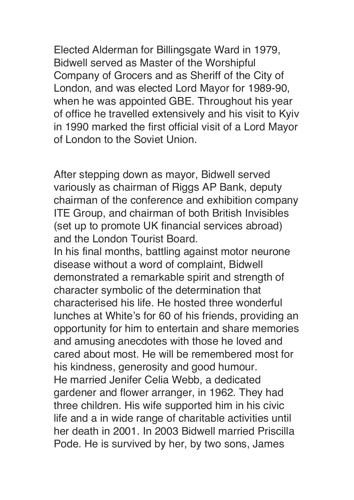Elected Alderman for Billingsgate Ward in 1979, Bidwell served as Master of the Worshipful Company of Grocers and as Sheriff of the City of London, and was elected Lord Mayor for 1989-90, when he was appointed GBE. Throughout his year of office he travelled extensively and his visit to Kyiv in 1990 marked the first official visit of a Lord Mayor of London to the Soviet Union.

After stepping down as mayor, Bidwell served variously as chairman of Riggs AP Bank, deputy chairman of the conference and exhibition company ITE Group, and chairman of both British Invisibles (set up to promote UK financial services abroad) and the London Tourist Board.

In his final months, battling against motor neurone disease without a word of complaint, Bidwell demonstrated a remarkable spirit and strength of character symbolic of the determination that characterised his life. He hosted three wonderful lunches at White's for 60 of his friends, providing an opportunity for him to entertain and share memories and amusing anecdotes with those he loved and cared about most. He will be remembered most for his kindness, generosity and good humour. He married Jenifer Celia Webb, a dedicated gardener and flower arranger, in 1962. They had three children. His wife supported him in his civic life and a in wide range of charitable activities until her death in 2001. In 2003 Bidwell married Priscilla Pode. He is survived by her, by two sons, James